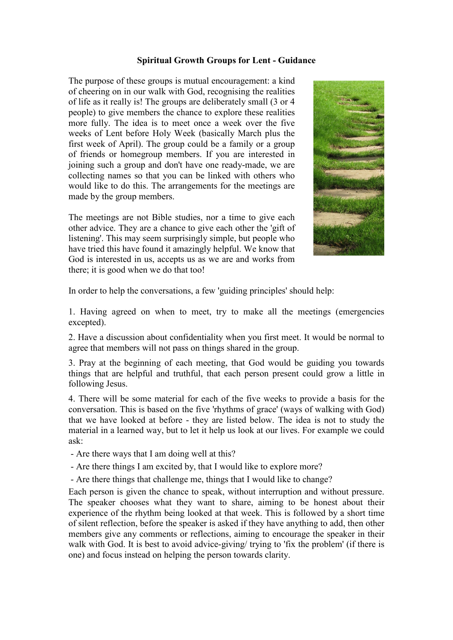## **Spiritual Growth Groups for Lent - Guidance**

The purpose of these groups is mutual encouragement: a kind of cheering on in our walk with God, recognising the realities of life as it really is! The groups are deliberately small (3 or 4 people) to give members the chance to explore these realities more fully. The idea is to meet once a week over the five weeks of Lent before Holy Week (basically March plus the first week of April). The group could be a family or a group of friends or homegroup members. If you are interested in joining such a group and don't have one ready-made, we are collecting names so that you can be linked with others who would like to do this. The arrangements for the meetings are made by the group members.

The meetings are not Bible studies, nor a time to give each other advice. They are a chance to give each other the 'gift of listening'. This may seem surprisingly simple, but people who have tried this have found it amazingly helpful. We know that God is interested in us, accepts us as we are and works from there; it is good when we do that too!



In order to help the conversations, a few 'guiding principles' should help:

1. Having agreed on when to meet, try to make all the meetings (emergencies excepted).

2. Have a discussion about confidentiality when you first meet. It would be normal to agree that members will not pass on things shared in the group.

3. Pray at the beginning of each meeting, that God would be guiding you towards things that are helpful and truthful, that each person present could grow a little in following Jesus.

4. There will be some material for each of the five weeks to provide a basis for the conversation. This is based on the five 'rhythms of grace' (ways of walking with God) that we have looked at before - they are listed below. The idea is not to study the material in a learned way, but to let it help us look at our lives. For example we could ask:

- Are there ways that I am doing well at this?

- Are there things I am excited by, that I would like to explore more?

- Are there things that challenge me, things that I would like to change?

Each person is given the chance to speak, without interruption and without pressure. The speaker chooses what they want to share, aiming to be honest about their experience of the rhythm being looked at that week. This is followed by a short time of silent reflection, before the speaker is asked if they have anything to add, then other members give any comments or reflections, aiming to encourage the speaker in their walk with God. It is best to avoid advice-giving/ trying to 'fix the problem' (if there is one) and focus instead on helping the person towards clarity.